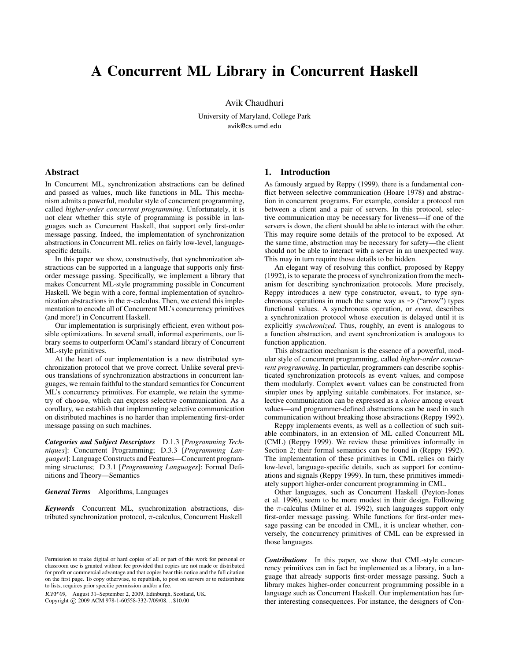# A Concurrent ML Library in Concurrent Haskell

Avik Chaudhuri

University of Maryland, College Park avik@cs.umd.edu

## Abstract

In Concurrent ML, synchronization abstractions can be defined and passed as values, much like functions in ML. This mechanism admits a powerful, modular style of concurrent programming, called *higher-order concurrent programming*. Unfortunately, it is not clear whether this style of programming is possible in languages such as Concurrent Haskell, that support only first-order message passing. Indeed, the implementation of synchronization abstractions in Concurrent ML relies on fairly low-level, languagespecific details.

In this paper we show, constructively, that synchronization abstractions can be supported in a language that supports only firstorder message passing. Specifically, we implement a library that makes Concurrent ML-style programming possible in Concurrent Haskell. We begin with a core, formal implementation of synchronization abstractions in the  $\pi$ -calculus. Then, we extend this implementation to encode all of Concurrent ML's concurrency primitives (and more!) in Concurrent Haskell.

Our implementation is surprisingly efficient, even without possible optimizations. In several small, informal experiments, our library seems to outperform OCaml's standard library of Concurrent ML-style primitives.

At the heart of our implementation is a new distributed synchronization protocol that we prove correct. Unlike several previous translations of synchronization abstractions in concurrent languages, we remain faithful to the standard semantics for Concurrent ML's concurrency primitives. For example, we retain the symmetry of choose, which can express selective communication. As a corollary, we establish that implementing selective communication on distributed machines is no harder than implementing first-order message passing on such machines.

*Categories and Subject Descriptors* D.1.3 [*Programming Techniques*]: Concurrent Programming; D.3.3 [*Programming Languages*]: Language Constructs and Features—Concurrent programming structures; D.3.1 [*Programming Languages*]: Formal Definitions and Theory—Semantics

*General Terms* Algorithms, Languages

*Keywords* Concurrent ML, synchronization abstractions, distributed synchronization protocol,  $\pi$ -calculus, Concurrent Haskell

ICFP'09, August 31–September 2, 2009, Edinburgh, Scotland, UK. Copyright © 2009 ACM 978-1-60558-332-7/09/08... \$10.00

### 1. Introduction

As famously argued by Reppy (1999), there is a fundamental conflict between selective communication (Hoare 1978) and abstraction in concurrent programs. For example, consider a protocol run between a client and a pair of servers. In this protocol, selective communication may be necessary for liveness—if one of the servers is down, the client should be able to interact with the other. This may require some details of the protocol to be exposed. At the same time, abstraction may be necessary for safety—the client should not be able to interact with a server in an unexpected way. This may in turn require those details to be hidden.

An elegant way of resolving this conflict, proposed by Reppy (1992), is to separate the process of synchronization from the mechanism for describing synchronization protocols. More precisely, Reppy introduces a new type constructor, event, to type synchronous operations in much the same way as -> ("arrow") types functional values. A synchronous operation, or *event*, describes a synchronization protocol whose execution is delayed until it is explicitly *synchronized*. Thus, roughly, an event is analogous to a function abstraction, and event synchronization is analogous to function application.

This abstraction mechanism is the essence of a powerful, modular style of concurrent programming, called *higher-order concurrent programming*. In particular, programmers can describe sophisticated synchronization protocols as event values, and compose them modularly. Complex event values can be constructed from simpler ones by applying suitable combinators. For instance, selective communication can be expressed as a *choice* among event values—and programmer-defined abstractions can be used in such communication without breaking those abstractions (Reppy 1992).

Reppy implements events, as well as a collection of such suitable combinators, in an extension of ML called Concurrent ML (CML) (Reppy 1999). We review these primitives informally in Section 2; their formal semantics can be found in (Reppy 1992). The implementation of these primitives in CML relies on fairly low-level, language-specific details, such as support for continuations and signals (Reppy 1999). In turn, these primitives immediately support higher-order concurrent programming in CML.

Other languages, such as Concurrent Haskell (Peyton-Jones et al. 1996), seem to be more modest in their design. Following the  $\pi$ -calculus (Milner et al. 1992), such languages support only first-order message passing. While functions for first-order message passing can be encoded in CML, it is unclear whether, conversely, the concurrency primitives of CML can be expressed in those languages.

*Contributions* In this paper, we show that CML-style concurrency primitives can in fact be implemented as a library, in a language that already supports first-order message passing. Such a library makes higher-order concurrent programming possible in a language such as Concurrent Haskell. Our implementation has further interesting consequences. For instance, the designers of Con-

Permission to make digital or hard copies of all or part of this work for personal or classroom use is granted without fee provided that copies are not made or distributed for profit or commercial advantage and that copies bear this notice and the full citation on the first page. To copy otherwise, to republish, to post on servers or to redistribute to lists, requires prior specific permission and/or a fee.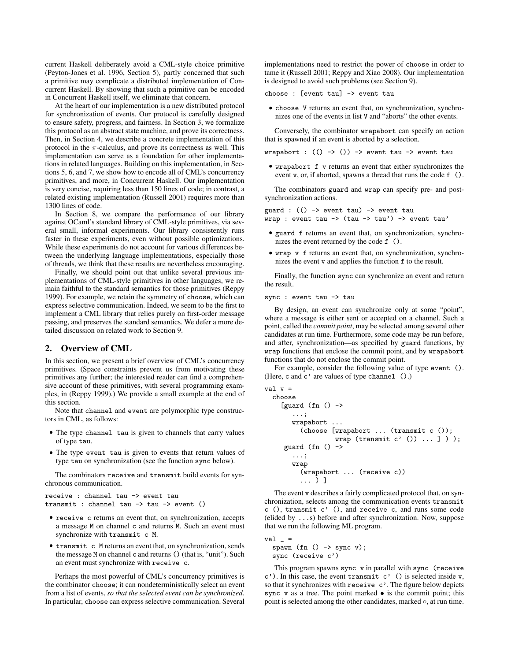current Haskell deliberately avoid a CML-style choice primitive (Peyton-Jones et al. 1996, Section 5), partly concerned that such a primitive may complicate a distributed implementation of Concurrent Haskell. By showing that such a primitive can be encoded in Concurrent Haskell itself, we eliminate that concern.

At the heart of our implementation is a new distributed protocol for synchronization of events. Our protocol is carefully designed to ensure safety, progress, and fairness. In Section 3, we formalize this protocol as an abstract state machine, and prove its correctness. Then, in Section 4, we describe a concrete implementation of this protocol in the  $\pi$ -calculus, and prove its correctness as well. This implementation can serve as a foundation for other implementations in related languages. Building on this implementation, in Sections 5, 6, and 7, we show how to encode all of CML's concurrency primitives, and more, in Concurrent Haskell. Our implementation is very concise, requiring less than 150 lines of code; in contrast, a related existing implementation (Russell 2001) requires more than 1300 lines of code.

In Section 8, we compare the performance of our library against OCaml's standard library of CML-style primitives, via several small, informal experiments. Our library consistently runs faster in these experiments, even without possible optimizations. While these experiments do not account for various differences between the underlying language implementations, especially those of threads, we think that these results are nevertheless encouraging.

Finally, we should point out that unlike several previous implementations of CML-style primitives in other languages, we remain faithful to the standard semantics for those primitives (Reppy 1999). For example, we retain the symmetry of choose, which can express selective communication. Indeed, we seem to be the first to implement a CML library that relies purely on first-order message passing, and preserves the standard semantics. We defer a more detailed discussion on related work to Section 9.

# 2. Overview of CML

In this section, we present a brief overview of CML's concurrency primitives. (Space constraints prevent us from motivating these primitives any further; the interested reader can find a comprehensive account of these primitives, with several programming examples, in (Reppy 1999).) We provide a small example at the end of this section.

Note that channel and event are polymorphic type constructors in CML, as follows:

- The type channel tau is given to channels that carry values of type tau.
- The type event tau is given to events that return values of type tau on synchronization (see the function sync below).

The combinators receive and transmit build events for synchronous communication.

receive : channel tau -> event tau transmit : channel tau -> tau -> event ()

- receive c returns an event that, on synchronization, accepts a message M on channel c and returns M. Such an event must synchronize with transmit c M.
- transmit c M returns an event that, on synchronization, sends the message M on channel c and returns () (that is, "unit"). Such an event must synchronize with receive c.

Perhaps the most powerful of CML's concurrency primitives is the combinator choose; it can nondeterministically select an event from a list of events, *so that the selected event can be synchronized*. In particular, choose can express selective communication. Several implementations need to restrict the power of choose in order to tame it (Russell 2001; Reppy and Xiao 2008). Our implementation is designed to avoid such problems (see Section 9).

choose : [event tau] -> event tau

• choose V returns an event that, on synchronization, synchronizes one of the events in list V and "aborts" the other events.

Conversely, the combinator wrapabort can specify an action that is spawned if an event is aborted by a selection.

 $urapabort$  :  $(()$  ->  $())$  -> event tau -> event tau

• wrapabort f v returns an event that either synchronizes the event v, or, if aborted, spawns a thread that runs the code f ().

The combinators guard and wrap can specify pre- and postsynchronization actions.

guard : (() -> event tau) -> event tau wrap : event tau -> (tau -> tau') -> event tau'

- guard f returns an event that, on synchronization, synchronizes the event returned by the code f ().
- wrap v f returns an event that, on synchronization, synchronizes the event v and applies the function f to the result.

Finally, the function sync can synchronize an event and return the result.

sync : event tau -> tau

By design, an event can synchronize only at some "point", where a message is either sent or accepted on a channel. Such a point, called the *commit point*, may be selected among several other candidates at run time. Furthermore, some code may be run before, and after, synchronization—as specified by guard functions, by wrap functions that enclose the commit point, and by wrapabort functions that do not enclose the commit point.

For example, consider the following value of type event (). (Here, c and c' are values of type channel ().)

```
val v =
```

```
choose
  [guard (fn () \rightarrow...;
     wrapabort ...
        (choose [wrapabort ... (transmit c ());
                  wrap (transmit c' ()) \ldots ] ) );
   guard (fn () \rightarrow...;
     wrap
        (wrapabort ... (receive c))
        ... ) ]
```
The event v describes a fairly complicated protocol that, on synchronization, selects among the communication events transmit c (), transmit c' (), and receive c, and runs some code (elided by ...s) before and after synchronization. Now, suppose that we run the following ML program.

 $val$  = spawn (fn  $() \rightarrow$  sync v); sync (receive c')

This program spawns sync v in parallel with sync (receive  $c'$ ). In this case, the event transmit  $c'$  () is selected inside v, so that it synchronizes with receive c'. The figure below depicts sync v as a tree. The point marked  $\bullet$  is the commit point; this point is selected among the other candidates, marked ◦, at run time.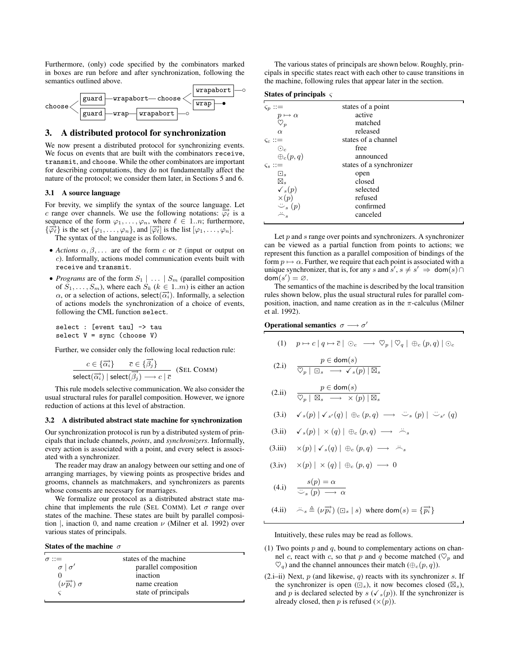Furthermore, (only) code specified by the combinators marked in boxes are run before and after synchronization, following the semantics outlined above.



# 3. A distributed protocol for synchronization

We now present a distributed protocol for synchronizing events. We focus on events that are built with the combinators receive, transmit, and choose. While the other combinators are important for describing computations, they do not fundamentally affect the nature of the protocol; we consider them later, in Sections 5 and 6.

#### 3.1 A source language

For brevity, we simplify the syntax of the source language. Let c range over channels. We use the following notations:  $\overrightarrow{\varphi}_{\ell}$  is a sequence of the form  $\varphi_1, \ldots, \varphi_n$ , where  $\ell \in 1..n$ ; furthermore,  $\{\overline{\varphi_{\ell}}\}$  is the set  $\{\varphi_1,\ldots,\varphi_n\}$ , and  $[\overline{\varphi_{\ell}}]$  is the list  $[\varphi_1,\ldots,\varphi_n]$ .

The syntax of the language is as follows.

- *Actions*  $\alpha, \beta, \ldots$  are of the form c or  $\bar{c}$  (input or output on c). Informally, actions model communication events built with receive and transmit.
- *Programs* are of the form  $S_1 | \ldots | S_m$  (parallel composition of  $S_1, \ldots, S_m$ , where each  $S_k$  ( $k \in 1..m$ ) is either an action  $\alpha$ , or a selection of actions, select( $\overrightarrow{\alpha_i}$ ). Informally, a selection of actions models the synchronization of a choice of events, following the CML function select.

select : [event tau] -> tau select  $V = sync$  (choose  $V$ )

Further, we consider only the following local reduction rule:

$$
\frac{c \in {\{\overrightarrow{\alpha_i}\}} \quad \overrightarrow{c} \in {\{\overrightarrow{\beta_j}\}}}{\text{select}(\overrightarrow{\alpha_i}) \mid \text{select}(\overrightarrow{\beta_j}) \longrightarrow c \mid \overrightarrow{c}} \quad (\text{SEL \text{COMM}})
$$

This rule models selective communication. We also consider the usual structural rules for parallel composition. However, we ignore reduction of actions at this level of abstraction.

#### 3.2 A distributed abstract state machine for synchronization

Our synchronization protocol is run by a distributed system of principals that include channels, *points*, and *synchronizers*. Informally, every action is associated with a point, and every select is associated with a synchronizer.

The reader may draw an analogy between our setting and one of arranging marriages, by viewing points as prospective brides and grooms, channels as matchmakers, and synchronizers as parents whose consents are necessary for marriages.

We formalize our protocol as a distributed abstract state machine that implements the rule (SEL COMM). Let  $\sigma$  range over states of the machine. These states are built by parallel composition |, inaction 0, and name creation  $\nu$  (Milner et al. 1992) over various states of principals.

#### States of the machine  $\sigma$

| $\sigma ::=$                        | states of the machine |  |
|-------------------------------------|-----------------------|--|
| $\sigma$   $\sigma'$                | parallel composition  |  |
|                                     | inaction              |  |
| $(\nu \overrightarrow{p_i}) \sigma$ | name creation         |  |
|                                     | state of principals   |  |
|                                     |                       |  |

The various states of principals are shown below. Roughly, principals in specific states react with each other to cause transitions in the machine, following rules that appear later in the section.

#### States of principals ς

| $\varsigma_p ::=$    | states of a point        |    |
|----------------------|--------------------------|----|
| $p \mapsto \alpha$   | active                   |    |
| $\heartsuit_p$       | matched                  |    |
| $\alpha$             | released                 |    |
| $\varsigma_c ::=$    | states of a channel      |    |
| $\odot_c$            | free                     |    |
| $\oplus_c(p,q)$      | announced                |    |
| $\varsigma_s ::=$    | states of a synchronizer |    |
| $\Box_s$             | open                     |    |
| $\boxtimes_s$        | closed                   |    |
| $\checkmark$ s(p)    | selected                 |    |
| $\times(p)$          | refused                  |    |
| $\ddot{\smile}_s(p)$ | confirmed                |    |
| $\ddot{\frown}_s$    | canceled                 |    |
| п                    |                          | л. |

Let  $p$  and  $s$  range over points and synchronizers. A synchronizer can be viewed as a partial function from points to actions; we represent this function as a parallel composition of bindings of the form  $p \mapsto \alpha$ . Further, we require that each point is associated with a unique synchronizer, that is, for any s and  $s', s \neq s' \Rightarrow \text{dom}(s) \cap$  $dom(s') = \varnothing$ .

The semantics of the machine is described by the local transition rules shown below, plus the usual structural rules for parallel composition, inaction, and name creation as in the  $\pi$ -calculus (Milner et al. 1992).

Operational semantics  $\sigma \longrightarrow \sigma'$ 

(1) 
$$
p \mapsto c \mid q \mapsto \overline{c} \mid \odot_c \longrightarrow \heartsuit_p \mid \heartsuit_q \mid \oplus_c (p,q) \mid \odot_c
$$

$$
(2.i) \quad \frac{p \in \text{dom}(s)}{\nabla_p \mid \Box_s \longrightarrow \checkmark_s(p) \mid \boxtimes_s}
$$

$$
(2.ii) \quad \frac{p \in \text{dom}(s)}{\heartsuit_p \mid \boxtimes_s \longrightarrow \times (p) \mid \boxtimes_s}
$$

(3.i) 
$$
\checkmark_s(p) | \checkmark_{s'}(q) | \oplus_c (p,q) \longrightarrow \check{\smile}_s (p) | \check{\smile}_{s'} (q)
$$

$$
(3.ii) \quad \checkmark_s(p) \mid \times (q) \mid \oplus_c (p,q) \longrightarrow \dot{\frown}_s
$$

$$
(3.iii) \quad \times (p) \mid \checkmark_s(q) \mid \oplus_c (p,q) \longrightarrow \ddot{\frown}_s
$$

$$
(3. \text{iv}) \quad \times (p) \mid \times (q) \mid \oplus_c (p, q) \longrightarrow 0
$$

$$
(4.i) \quad \frac{s(p) = \alpha}{\frac{1}{\alpha} \cdot s(p) \cdot \alpha}
$$

(4.ii)  $\therefore$   $s \triangleq (\nu \overrightarrow{p_i})$  ( $\Box$ <sub>s</sub> | s) where dom( $s$ ) = { $\overrightarrow{p_i}$ }

Intuitively, these rules may be read as follows.

- (1) Two points  $p$  and  $q$ , bound to complementary actions on channel c, react with c, so that p and q become matched  $(\heartsuit_p$  and  $\heartsuit_q$ ) and the channel announces their match ( $\oplus_c(p,q)$ ).
- $(2.i-ii)$  Next, p (and likewise, q) reacts with its synchronizer s. If the synchronizer is open  $(\Xi_s)$ , it now becomes closed  $(\mathbb{Z}_s)$ ,<br>and n is declared selected by  $s$  ( $\angle$  (n)) If the synchronizer is and p is declared selected by  $s(\checkmark(s))$ . If the synchronizer is already closed, then p is refused  $(\times(p))$ .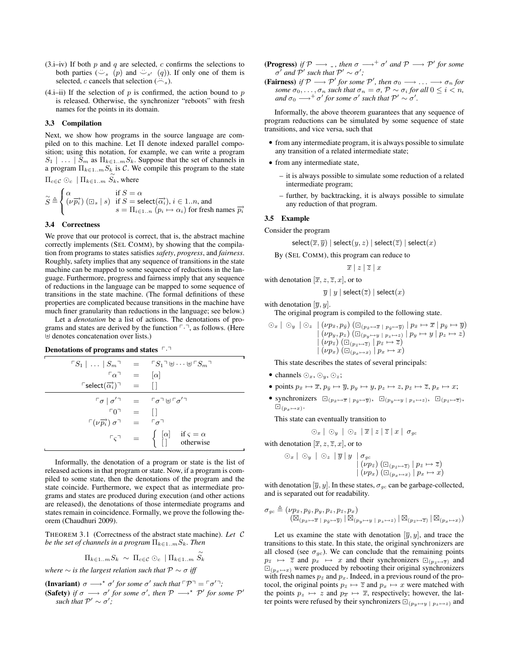- $(3.i-iv)$  If both p and q are selected, c confirms the selections to both parties  $(\psi_s (p)$  and  $\psi_{s'} (q)$ . If only one of them is selected, c cancels that selection  $(\neg s)$ .
- (4.i–ii) If the selection of  $p$  is confirmed, the action bound to  $p$ is released. Otherwise, the synchronizer "reboots" with fresh names for the points in its domain.

## 3.3 Compilation

Next, we show how programs in the source language are compiled on to this machine. Let  $\Pi$  denote indexed parallel composition; using this notation, for example, we can write a program  $S_1 \mid \ldots \mid S_m$  as  $\Pi_{k \in 1 \ldots m} S_k$ . Suppose that the set of channels in a program  $\Pi_{k \in 1..m} S_k$  is C. We compile this program to the state  $\Pi_{c \in \mathcal{C}} \odot_c \|\Pi_{k \in 1..m} \mathcal{S}_k,$  where

$$
\widetilde{S} \triangleq \begin{cases} \alpha & \text{if } S = \alpha \\ (\nu \overrightarrow{p_i}) \ (\Box_s \mid s) & \text{if } S = \text{select}(\overrightarrow{\alpha_i}), i \in 1..n \text{, and} \\ s = \Pi_{i \in 1..n} \ (p_i \mapsto \alpha_i) \text{ for fresh names } \overrightarrow{p_i} \end{cases}
$$

### 3.4 Correctness

We prove that our protocol is correct, that is, the abstract machine correctly implements (SEL COMM), by showing that the compilation from programs to states satisfies *safety*, *progress*, and *fairness*. Roughly, safety implies that any sequence of transitions in the state machine can be mapped to some sequence of reductions in the language. Furthermore, progress and fairness imply that any sequence of reductions in the language can be mapped to some sequence of transitions in the state machine. (The formal definitions of these properties are complicated because transitions in the machine have much finer granularity than reductions in the language; see below.)

Let a *denotation* be a list of actions. The denotations of programs and states are derived by the function  $\lceil \cdot \rceil$ , as follows. (Here  $\forall$  denotes concatenation over lists.)

#### Denotations of programs and states  $\Box$

| $\lceil \alpha \rceil = \lceil \alpha \rceil$<br>$\lceil \mathsf{select}(\overrightarrow{\alpha_i}) \rceil = \lceil \rceil$ |                                                                                      | $\lceil S_1 \rceil \ldots \lceil S_m \rceil = \lceil S_1 \rceil \oplus \cdots \oplus \lceil S_m \rceil$                                                                                                                                                |
|-----------------------------------------------------------------------------------------------------------------------------|--------------------------------------------------------------------------------------|--------------------------------------------------------------------------------------------------------------------------------------------------------------------------------------------------------------------------------------------------------|
|                                                                                                                             |                                                                                      | $\begin{array}{ccc} \nabla \sigma & \sigma^{\prime} \nabla & = & \nabla \sigma \nabla \uplus \nabla \sigma^{\prime} \nabla \end{array}$                                                                                                                |
|                                                                                                                             | $\begin{array}{cc} \nabla \cdot 0 & = & \begin{bmatrix} \end{bmatrix} \n\end{array}$ |                                                                                                                                                                                                                                                        |
| $\int (\nu \overrightarrow{p_i}) \sigma^{\dagger} = \int \sigma^{\dagger}$                                                  |                                                                                      |                                                                                                                                                                                                                                                        |
|                                                                                                                             |                                                                                      | $\begin{array}{rcl} \nabla \varsigma^{\mathsf{T}} & = & \left\{ \begin{array}{cc} [\alpha] & \text{if } \varsigma = \alpha \\ [1mm] \text{if } \varsigma = \alpha \end{array} \right. \\ \nabla \varsigma^{\mathsf{T}} & \text{otherwise} \end{array}$ |

Informally, the denotation of a program or state is the list of released actions in that program or state. Now, if a program is compiled to some state, then the denotations of the program and the state coincide. Furthermore, we expect that as intermediate programs and states are produced during execution (and other actions are released), the denotations of those intermediate programs and states remain in coincidence. Formally, we prove the following theorem (Chaudhuri 2009).

THEOREM 3.1 (Correctness of the abstract state machine). *Let* C *be the set of channels in a program*  $\Pi_{k\in 1..m} S_k$ *. Then* 

$$
\Pi_{k\in 1..m} S_k \sim \Pi_{c\in \mathcal{C}} \odot_c |\Pi_{k\in 1..m} \widetilde{S}_k
$$

*where*  $\sim$  *is the largest relation such that*  $P \sim \sigma$  *iff* 

**(Invariant)**  $\sigma \longrightarrow^* \sigma'$  for some  $\sigma'$  such that  $\ulcorner \mathcal{P} \urcorner = \ulcorner \sigma' \urcorner;$ **(Safety)** if  $\sigma \longrightarrow \sigma'$  for some  $\sigma'$ , then  $\mathcal{P} \longrightarrow^* \mathcal{P}'$  for some  $\mathcal{P}'$ *such that*  $\mathcal{P}' \sim \sigma'$ ;

- **(Progress)** if  $P \longrightarrow$  *, then*  $\sigma \longrightarrow^+ \sigma'$  and  $P \longrightarrow P'$  for some  $\sigma'$  and  $\mathcal{P}'$  such that  $\mathcal{P}' \sim \sigma'$ ;
- **(Fairness)** if  $P \longrightarrow P'$  for some  $P'$ , then  $\sigma_0 \longrightarrow \ldots \longrightarrow \sigma_n$  for *some*  $\sigma_0, \ldots, \sigma_n$  *such that*  $\sigma_n = \sigma$ ,  $\mathcal{P} \sim \sigma_i$  *for all*  $0 \leq i \leq n$ , and  $\sigma_0 \longrightarrow^+ \sigma'$  for some  $\sigma'$  such that  $\mathcal{P}' \sim \sigma'$ .

Informally, the above theorem guarantees that any sequence of program reductions can be simulated by some sequence of state transitions, and vice versa, such that

- from any intermediate program, it is always possible to simulate any transition of a related intermediate state;
- from any intermediate state,
	- it is always possible to simulate some reduction of a related intermediate program;
	- further, by backtracking, it is always possible to simulate any reduction of that program.

#### 3.5 Example

Consider the program

$$
\mathsf{select}(\overline{x}, \overline{y}) \mid \mathsf{select}(y, z) \mid \mathsf{select}(\overline{z}) \mid \mathsf{select}(x)
$$

By (SEL COMM), this program can reduce to

$$
\overline{x} \mid z \mid \overline{z} \mid x
$$

with denotation  $[\overline{x}, z, \overline{z}, x]$ , or to

$$
\overline{y} | y |
$$
 select $(\overline{z}) |$  select $(x)$ 

with denotation  $[\overline{y}, y]$ .

The original program is compiled to the following state.

$$
\begin{array}{c|c|c|c|c|c|c|c|c} \hline \circlearrowleft_{x} & \circlearrowleft_{y} & \circlearrowleft_{y} & \circlearrowleft_{y} & \circlearrowleft_{y} & \circlearrowleft_{y} & \circlearrowleft_{y} & \circlearrowleft_{y} & \circlearrowleft_{y} & \circlearrowleft_{y} & \circlearrowleft_{y} & \circlearrowleft_{y} & \circlearrowleft_{y} & \circlearrowleft_{y} & \circlearrowleft_{y} & \circlearrowleft_{y} & \circlearrowleft_{y} & \circlearrowleft_{y} & \circlearrowleft_{y} & \circlearrowleft_{y} & \circlearrowleft_{y} & \circlearrowleft_{y} & \circlearrowleft_{y} & \circlearrowleft_{y} & \circlearrowleft_{y} & \circlearrowleft_{y} & \circlearrowleft_{y} & \circlearrowleft_{y} & \circlearrowleft_{y} & \circlearrowleft_{y} & \circlearrowleft_{y} & \circlearrowleft_{y} & \circlearrowleft_{y} & \circlearrowleft_{y} & \circlearrowleft_{y} & \circlearrowleft_{y} & \circlearrowleft_{y} & \circlearrowleft_{y} & \circlearrowleft_{y} & \circlearrowleft_{y} & \circlearrowleft_{y} & \circlearrowleft_{y} & \circlearrowleft_{y} & \circlearrowleft_{y} & \circlearrowleft_{y} & \circlearrowleft_{y} & \circlearrowleft_{y} & \circlearrowleft_{y} & \circlearrowleft_{y} & \circlearrowleft_{y} & \circlearrowleft_{y} & \circlearrowleft_{y} & \circlearrowleft_{y} & \circlearrowleft_{y} & \circlearrowleft_{y} & \circlearrowleft_{y} & \circlearrowleft_{y} & \circlearrowleft_{y} & \circlearrowleft_{y} & \circlearrowleft_{y} & \circlearrowleft_{y} & \circlearrowleft_{y} & \circlearrowleft_{y} & \circlearrowleft_{y} & \circlearrowleft_{y} & \circlearrowleft_{y} & \circlearrowleft_{y}
$$

This state describes the states of several principals:

- channels  $\odot_x$ ,  $\odot_y$ ,  $\odot_z$ ;
- points  $p_{\bar{x}} \mapsto \overline{x}, p_{\bar{y}} \mapsto \overline{y}, p_y \mapsto y, p_z \mapsto z, p_{\bar{z}} \mapsto \overline{z}, p_x \mapsto x;$
- synchronizers  $\Box_{(p_{\bar{x}}\mapsto\overline{x}\,\,|\,\, p_{\bar{y}}\mapsto\overline{y})}$ ,  $\Box_{(p_{y}\mapsto y\,\,|\,\, p_{z}\mapsto z)}$ ,  $\Box_{(p_{\bar{z}}\mapsto\overline{z})}$ ,  $\Box(p_x \rightarrow x)$ .

This state can eventually transition to

$$
\odot_x \mid \odot_y \mid \odot_z \mid \overline{x} \mid z \mid \overline{z} \mid x \mid \sigma_{gc}
$$

with denotation  $[\overline{x}, z, \overline{z}, x]$ , or to

$$
\begin{array}{c|c|c|c|c|c|c|c} \hline \circ_{x} & \circ_{y} & \circ_{z} & \overline{y} & y & \sigma_{gc} \\ & & & & & & \\ \hline & & & & & & \\ \hline & & & & & & \\ \hline & & & & & & \\ \hline & & & & & & & \\ \hline & & & & & & & \\ \hline & & & & & & & & \\ \hline & & & & & & & & & \\ \hline & & & & & & & & & \\ \hline \end{array}
$$

with denotation  $[\overline{y}, y]$ . In these states,  $\sigma_{gc}$  can be garbage-collected, and is separated out for readability.

$$
\sigma_{gc} \triangleq (\nu p_{\bar{x}}, p_{\bar{y}}, p_y, p_z, p_{\bar{z}}, p_x) (\boxtimes_{(p_{\bar{x}} \mapsto \overline{x} + p_{\bar{y}} \mapsto \overline{y})} |\boxtimes_{(p_y \mapsto y + p_z \mapsto z)} |\boxtimes_{(p_z \mapsto \overline{z})} |\boxtimes_{(p_x \mapsto x)})
$$

Let us examine the state with denotation  $[\overline{y}, y]$ , and trace the transitions to this state. In this state, the original synchronizers are all closed (see  $\sigma_{qc}$ ). We can conclude that the remaining points  $p_{\bar{z}} \mapsto \bar{z}$  and  $p_x \mapsto x$  and their synchronizers  $\Box_{(p_{\bar{z}} \mapsto \bar{z})}$  and  $\square_{(p_x \mapsto x)}$  were produced by rebooting their original synchronizers with fresh names  $p_{\bar{z}}$  and  $p_x$ . Indeed, in a previous round of the protocol, the original points  $p_{\bar{z}} \mapsto \bar{z}$  and  $p_x \mapsto x$  were matched with the points  $p_z \mapsto z$  and  $p_{\overline{x}} \mapsto \overline{x}$ , respectively; however, the latter points were refused by their synchronizers  $\Box_{(p_y \mapsto y \mid p_z \mapsto z)}$  and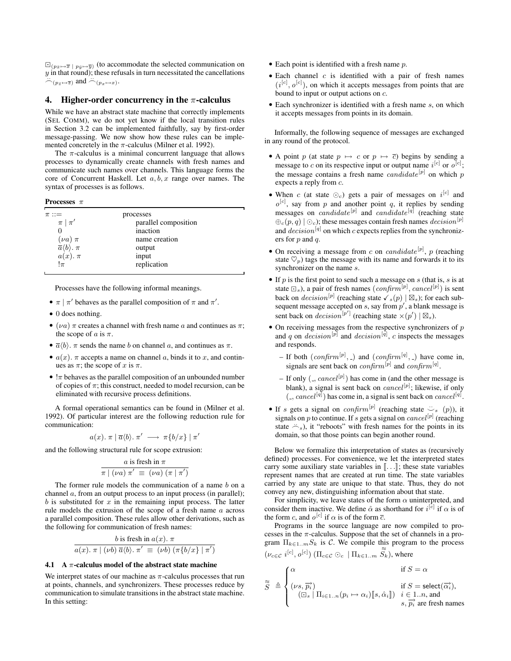$\Xi_{(p_{\bar{x}}\mapsto\overline{x}+p_{\bar{y}}\mapsto\overline{y})}$  (to accommodate the selected communication on  $y$  in that round); these refusals in turn necessitated the cancellations  $\ddot{P}(p_{\overline{z}} \mapsto \overline{z})$  and  $\ddot{P}(p_x \mapsto x)$ .

# 4. Higher-order concurrency in the  $\pi$ -calculus

While we have an abstract state machine that correctly implements (SEL COMM), we do not yet know if the local transition rules in Section 3.2 can be implemented faithfully, say by first-order message-passing. We now show how these rules can be implemented concretely in the  $\pi$ -calculus (Milner et al. 1992).

The  $\pi$ -calculus is a minimal concurrent language that allows processes to dynamically create channels with fresh names and communicate such names over channels. This language forms the core of Concurrent Haskell. Let  $a, b, x$  range over names. The syntax of processes is as follows.

#### Processes π

| $\pi ::=$                                                 | processes            |  |
|-----------------------------------------------------------|----------------------|--|
| $\pi   \pi'$                                              | parallel composition |  |
|                                                           | inaction             |  |
| $(\nu a)\pi$                                              | name creation        |  |
| $\overline{a}\langle b \rangle$ . $\pi$<br>$a(x)$ . $\pi$ | output               |  |
|                                                           | input                |  |
| $\overrightarrow{\pi}$                                    | replication          |  |
|                                                           |                      |  |

Processes have the following informal meanings.

- $\pi | \pi'$  behaves as the parallel composition of  $\pi$  and  $\pi'$ .
- 0 does nothing.
- ( $\nu a$ )  $\pi$  creates a channel with fresh name a and continues as  $\pi$ ; the scope of  $a$  is  $\pi$ .
- $\overline{a}\langle b \rangle$ .  $\pi$  sends the name b on channel a, and continues as  $\pi$ .
- $a(x)$ .  $\pi$  accepts a name on channel a, binds it to x, and continues as  $\pi$ ; the scope of x is  $\pi$ .
- $\pi$  behaves as the parallel composition of an unbounded number of copies of  $\pi$ ; this construct, needed to model recursion, can be eliminated with recursive process definitions.

A formal operational semantics can be found in (Milner et al. 1992). Of particular interest are the following reduction rule for communication:

$$
a(x)
$$
.  $\pi | \overline{a} \langle b \rangle$ .  $\pi'$   $\longrightarrow \pi \{b/x\} | \pi'$ 

and the following structural rule for scope extrusion:

$$
\frac{a \text{ is fresh in } \pi}{\pi \mid (\nu a) \pi' \equiv (\nu a) \left( \pi \mid \pi' \right)}
$$

The former rule models the communication of a name b on a channel  $\alpha$ , from an output process to an input process (in parallel);  $b$  is substituted for  $x$  in the remaining input process. The latter rule models the extrusion of the scope of a fresh name  $a$  across a parallel composition. These rules allow other derivations, such as the following for communication of fresh names:

$$
\frac{b \text{ is fresh in } a(x). \pi}{a(x). \pi \mid (\nu b) \overline{a} \langle b \rangle. \pi' \equiv (\nu b) \left( \pi \{ b/x \} \mid \pi' \right)}
$$

### 4.1 A  $\pi$ -calculus model of the abstract state machine

We interpret states of our machine as  $\pi$ -calculus processes that run at points, channels, and synchronizers. These processes reduce by communication to simulate transitions in the abstract state machine. In this setting:

- Each point is identified with a fresh name  $p$ .
- $\bullet$  Each channel  $c$  is identified with a pair of fresh names  $(i^{[c]}, o^{[c]})$ , on which it accepts messages from points that are bound to input or output actions on c.
- $\bullet$  Each synchronizer is identified with a fresh name  $s$ , on which it accepts messages from points in its domain.

Informally, the following sequence of messages are exchanged in any round of the protocol.

- A point p (at state  $p \mapsto c$  or  $p \mapsto \overline{c}$ ) begins by sending a message to c on its respective input or output name  $i^{[c]}$  or  $o^{[c]}$ ; the message contains a fresh name *candidate*<sup>[p]</sup> on which p expects a reply from c.
- When c (at state  $\odot_c$ ) gets a pair of messages on  $i^{[c]}$  and  $o^{[c]}$ , say from p and another point q, it replies by sending messages on *candidate*<sup>[p]</sup> and *candidate*<sup>[q]</sup> (reaching state  $\bigoplus_{c}(p,q) \, | \, \bigodot_c$ ; these messages contain fresh names *decision*<sup>[p]</sup> and  $decision^{[q]}$  on which c expects replies from the synchronizers for p and q.
- On receiving a message from c on candidate<sup>[p]</sup>, p (reaching state  $\heartsuit_p$ ) tags the message with its name and forwards it to its synchronizer on the name s.
- If  $p$  is the first point to send such a message on  $s$  (that is,  $s$  is at state  $\Box_s$ ), a pair of fresh names  $(confirm^{[p]}, cancel^{[p]})$  is sent back on  $decision^{[p]}$  (reaching state  $\checkmark_s(p) | \mathfrak{A}_s$ ); for each subsequent message accepted on s, say from  $p'$ , a blank message is sent back on  $\text{decision}^{[p']}$  (reaching state  $\times$   $(p') | \boxtimes_s$ ).
- On receiving messages from the respective synchronizers of  $p$ and q on decision<sup>[p]</sup> and decision<sup>[q]</sup>, c inspects the messages and responds.
	- If both  $(\text{confirm}^{[p]}, \_)$  and  $(\text{confirm}^{[q]}, \_)$  have come in, signals are sent back on *confirm*<sup>[p]</sup> and *confirm*<sup>[q]</sup>.
	- If only  $($ , cancel<sup>[p]</sup>) has come in (and the other message is blank), a signal is sent back on  $cancel^{[p]}$ ; likewise, if only  $($ , cancel<sup>[q]</sup>) has come in, a signal is sent back on cancel<sup>[q]</sup>.
- If s gets a signal on *confirm*<sup>[p]</sup> (reaching state  $\psi_s$  (p)), it signals on p to continue. If s gets a signal on  $cancel^{[p]}$  (reaching state  $\ddot{\sim}_s$ ), it "reboots" with fresh names for the points in its domain, so that those points can begin another round.

Below we formalize this interpretation of states as (recursively defined) processes. For convenience, we let the interpreted states carry some auxiliary state variables in  $[\![...]\!]$ ; these state variables represent names that are created at run time. The state variables carried by any state are unique to that state. Thus, they do not convey any new, distinguishing information about that state.

For simplicity, we leave states of the form  $\alpha$  uninterpreted, and consider them inactive. We define  $\hat{\alpha}$  as shorthand for  $i^{[c]}$  if  $\alpha$  is of the form c, and  $o^{[c]}$  if  $\alpha$  is of the form  $\overline{c}$ .

Programs in the source language are now compiled to processes in the  $\pi$ -calculus. Suppose that the set of channels in a program  $\Pi_{k\in 1..m}S_k$  is C. We compile this program to the process  $(\nu_{c \in \mathcal{C}} \; i^{[c]}, o^{[c]}) \; (\Pi_{c \in \mathcal{C}} \odot_c \; | \; \Pi_{k \in 1..m} \; \widetilde{S}_k),$  where

$$
\widetilde{S} \triangleq \begin{cases} \alpha & \text{if } S = \alpha \\ (\nu s, \overrightarrow{p_i}) & \text{if } S = \text{select}(\overrightarrow{\alpha_i}), \\ (\overrightarrow{\Box}_s \mid \Pi_{i \in 1..n}(p_i \mapsto \alpha_i)[\![s, \hat{\alpha}_i]\!]) & i \in 1..n \text{, and} \\ s, \overrightarrow{p_i} \text{ are fresh names} \end{cases}
$$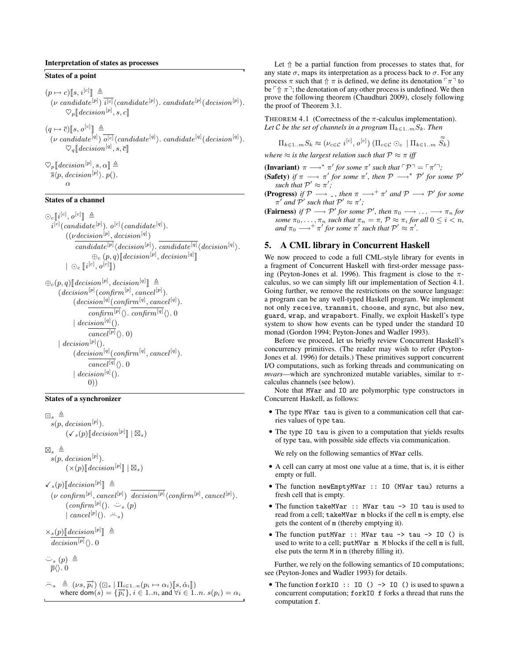## Interpretation of states as processes

# States of a point

 $(p \mapsto c)[\![s, i^{[c]}\!] \triangleq$  $(\nu \; candidate^{[p]}) \; \overline{i^{[c]}} \langle candidate^{[p]} \rangle$ . candidate<sup>[p]</sup> (decision<sup>[p]</sup>).  $\mathcal{O}_p[\![\mathit{decision}^{[p]}, s, c]\!]$ 

- $(q \mapsto \overline{c}) \llbracket s, o^{[c]} \rrbracket \triangleq$
- $(\nu \; candidate^{[q]}) \; \overline{o^{[c]}} \langle candidate^{[q]} \rangle$ . candidate<sup>[q]</sup> (decision<sup>[q]</sup>).  $\heartsuit_q[[\mathit{decision}^{[q]}, s, \overline{c}]]$

 $\mathcal{Q}_p[[\text{decision}^{[p]}, s, \alpha]] \triangleq$  $\overline{s}\langle p, \text{decision}^{[p]}\rangle. p()$ . α

## States of a channel

 $\bigcirc_c [i^{[c]}, o^{[c]}] \triangleq$  $i^{[c]}$ (candidate<sup>[p]</sup>).  $o^{[c]}$ (candidate<sup>[q]</sup>).  $((\nu \text{ decision}^{[p]}, \text{decision}^{[q]})$  $candidate^{[p]} \langle decision^{[p]} \rangle$ .  $candidate^{[q]} \langle decision^{[q]} \rangle$ .  $\oplus_c (p,q) [\nparallel c^{[p]}, decision^{[q]}] \$ <br> $\odot_c [\![i^{[c]}, o^{[c]}]\!]$ 

$$
\oplus_c(p,q)[\mathit{decision}^{[p]},\mathit{decision}^{[q]}]\triangleq \\ (\mathit{decision}^{[p]}(\mathit{confirm}^{[p]},\mathit{cancel}^{[q]})).\\ (\mathit{decision}^{[q]}(\mathit{confirm}^{[q]},\mathit{cancel}^{[p]})).\\ \mathit{confirm}^{[p]} \langle \rangle.\mathit{confirm}^{[q]} \langle \rangle. \ 0 \\ |\mathit{decision}^{[p]} \langle \rangle. \ 0 \\ |\mathit{decision}^{[p]} \langle \rangle. \ 0) \\ |\mathit{decision}^{[p]}(\rangle. \ 0) \\ (\mathit{decision}^{[q]}(\mathit{confirm}^{[q]},\mathit{cancel}^{[q]})).\\ \mathit{cancel}^{[q]} \langle \rangle. \ 0 \\ |\mathit{decision}^{[q]}(\rangle. \ 0) \\ |\mathit{decision}^{[q]}(\rangle. \ 0))
$$

# States of a synchronizer

 $\Box_s \triangleq$  $s(p, decision^{[p]})$ .  $(\checkmark s(p)\llbracket decision^{[p]}\rrbracket | \boxtimes_s)$ 

 $\boxtimes_s$   $\triangleq$ 

 $s(p, decision^{[p]})$ .  $(\times(p)\llbracket decision^{[p]}\rrbracket | \boxtimes_s)$ 

 $\checkmark$ <sub>s</sub>(p)[decision<sup>[p]</sup>]  $\triangleq$ 

 $(\nu \ \text{confirm}^{[p]}, \text{cancel}^{[p]}) \ \text{decision}^{[p]} \langle \text{confirm}^{[p]}, \text{cancel}^{[p]} \rangle$ .  $( \text{confirm}^{[p]}(.) \ \ \ddots \ \ _s (p)$  $| \mathit{cancel}^{[p]}(.) \rightarrow s)$ 

 $\times_{s}(p)[\underline{decision}^{[p]}] \triangleq$ 

 $decision^{[p]} \langle \rangle. 0$ 

$$
\stackrel{\cdot \cdot}{\mathop{\bar{\bar{\mathit{p}}}}\nolimits} (p) \triangleq \atop \overline{p}\langle \rangle .0
$$

$$
\ddot{\frown}_s \triangleq (\nu s, \overrightarrow{p_i}) \left( \boxdot_s |\prod_{i \in 1..n} (p_i \mapsto \alpha_i) [\![s, \hat{\alpha}_i]\!]\right) \ \text{where $\mathsf{dom}(s) = \{\overrightarrow{p_i}\}, i \in 1..n$, and $\forall i \in 1..n$. } s(p_i) = \alpha_i
$$

Let  $\Uparrow$  be a partial function from processes to states that, for any state  $\sigma$ , maps its interpretation as a process back to  $\sigma$ . For any process  $\pi$  such that  $\Uparrow \pi$  is defined, we define its denotation  $\ulcorner \pi \urcorner$  to be  $\lceil \uparrow \pi \rceil$ ; the denotation of any other process is undefined. We then prove the following theorem (Chaudhuri 2009), closely following the proof of Theorem 3.1.

THEOREM 4.1 (Correctness of the  $\pi$ -calculus implementation). Let C be the set of channels in a program  $\Pi_{k\in 1..m}S_k$ . Then

$$
\Pi_{k \in 1..m} S_k \approx (\nu_{c \in \mathcal{C}} \; i^{[c]}, o^{[c]}) \left( \Pi_{c \in \mathcal{C}} \odot_c \; | \; \Pi_{k \in 1..m} \; \widetilde{S}_k \right)
$$

*where*  $\approx$  *is the largest relation such that*  $P \approx \pi$  *iff* 

**(Invariant)**  $\pi \longrightarrow^* \pi'$  for some  $\pi'$  such that  $\ulcorner \mathcal{P} \urcorner = \ulcorner \pi' \urcorner;$ 

- **(Safety)** if  $\pi \longrightarrow \pi'$  for some  $\pi'$ , then  $P \longrightarrow^* P'$  for some  $P'$ *such that*  $P' \approx \pi'$ ;
- **(Progress)** if  $P \longrightarrow$  *, then*  $\pi \longrightarrow^+ \pi'$  and  $P \longrightarrow P'$  for some  $\pi'$  and  $\mathcal{P}'$  such that  $\mathcal{P}' \approx \pi'$ ;
- **(Fairness)** if  $\mathcal{P} \longrightarrow \mathcal{P}'$  for some  $\mathcal{P}'$ , then  $\pi_0 \longrightarrow \ldots \longrightarrow \pi_n$  for *some*  $\pi_0, \ldots, \pi_n$  *such that*  $\pi_n = \pi$ ,  $\mathcal{P} \approx \pi_i$  *for all*  $0 \leq i < n$ , and  $\pi_0 \longrightarrow^+ \pi'$  for some  $\pi'$  such that  $\mathcal{P}' \approx \pi'$ .

# 5. A CML library in Concurrent Haskell

We now proceed to code a full CML-style library for events in a fragment of Concurrent Haskell with first-order message passing (Peyton-Jones et al. 1996). This fragment is close to the  $\pi$ calculus, so we can simply lift our implementation of Section 4.1. Going further, we remove the restrictions on the source language: a program can be any well-typed Haskell program. We implement not only receive, transmit, choose, and sync, but also new, guard, wrap, and wrapabort. Finally, we exploit Haskell's type system to show how events can be typed under the standard IO monad (Gordon 1994; Peyton-Jones and Wadler 1993).

Before we proceed, let us briefly review Concurrent Haskell's concurrency primitives. (The reader may wish to refer (Peyton-Jones et al. 1996) for details.) These primitives support concurrent I/O computations, such as forking threads and communicating on *mvars*—which are synchronized mutable variables, similar to  $\pi$ calculus channels (see below).

Note that MVar and IO are polymorphic type constructors in Concurrent Haskell, as follows:

- The type MVar tau is given to a communication cell that carries values of type tau.
- The type IO tau is given to a computation that yields results of type tau, with possible side effects via communication.

We rely on the following semantics of MVar cells.

- A cell can carry at most one value at a time, that is, it is either empty or full.
- The function newEmptyMVar :: IO (MVar tau) returns a fresh cell that is empty.
- The function takeMVar :: MVar tau -> IO tau is used to read from a cell; takeMVar m blocks if the cell m is empty, else gets the content of m (thereby emptying it).
- The function putMVar :: MVar tau -> tau -> IO () is used to write to a cell; putMVar m M blocks if the cell m is full, else puts the term M in m (thereby filling it).

Further, we rely on the following semantics of IO computations; see (Peyton-Jones and Wadler 1993) for details.

• The function forkI0 :: I0 ()  $\rightarrow$  I0 () is used to spawn a concurrent computation; forkI0 f forks a thread that runs the computation f.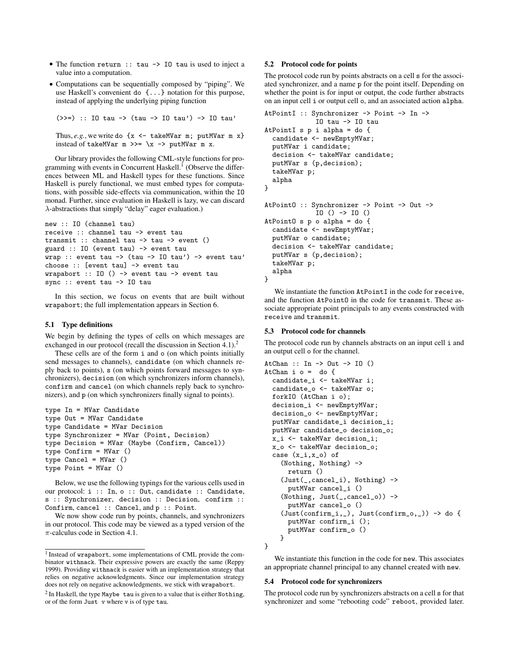- The function return :: tau -> IO tau is used to inject a value into a computation.
- Computations can be sequentially composed by "piping". We use Haskell's convenient do {...} notation for this purpose, instead of applying the underlying piping function

(>>=) :: IO tau -> (tau -> IO tau') -> IO tau'

Thus,  $e.g.,$  we write do  $\{x \leq - \text{takeMVar } m; \text{ putMVar } m \geq \}$ instead of takeMVar  $m \gg = \x \rightarrow$  putMVar  $m \times$ .

Our library provides the following CML-style functions for programming with events in Concurrent Haskell.<sup>1</sup> (Observe the differences between ML and Haskell types for these functions. Since Haskell is purely functional, we must embed types for computations, with possible side-effects via communication, within the IO monad. Further, since evaluation in Haskell is lazy, we can discard  $\lambda$ -abstractions that simply "delay" eager evaluation.)

```
new :: IO (channel tau)
receive :: channel tau -> event tau
transmit :: channel tau -> tau -> event ()
guard :: IO (event tau) -> event tau
wrap :: event tau \rightarrow (tau \rightarrow IO tau') \rightarrow event tau'
choose :: [event tau] -> event tau
wrapabort :: IO () -> event tau -> event tau
sync :: event tau -> IO tau
```
In this section, we focus on events that are built without wrapabort; the full implementation appears in Section 6.

## 5.1 Type definitions

We begin by defining the types of cells on which messages are exchanged in our protocol (recall the discussion in Section 4.1).<sup>2</sup>

These cells are of the form i and o (on which points initially send messages to channels), candidate (on which channels reply back to points), s (on which points forward messages to synchronizers), decision (on which synchronizers inform channels), confirm and cancel (on which channels reply back to synchronizers), and p (on which synchronizers finally signal to points).

```
type In = MVar Candidate
type Out = MVar Candidate
type Candidate = MVar Decision
type Synchronizer = MVar (Point, Decision)
type Decision = MVar (Maybe (Confirm, Cancel))
type Confirm = MVar ()
type Cancel = MVar ()
type Point = MVar ()
```
Below, we use the following typings for the various cells used in our protocol: i :: In, o :: Out, candidate :: Candidate, s :: Synchronizer, decision :: Decision, confirm :: Confirm, cancel :: Cancel, and p :: Point.

We now show code run by points, channels, and synchronizers in our protocol. This code may be viewed as a typed version of the π-calculus code in Section 4.1.

#### 5.2 Protocol code for points

The protocol code run by points abstracts on a cell s for the associated synchronizer, and a name p for the point itself. Depending on whether the point is for input or output, the code further abstracts on an input cell i or output cell o, and an associated action alpha.

```
AtPointI :: Synchronizer -> Point -> In ->
             IO tau -> IO tau
AtPointI s p i alpha = do {
  candidate <- newEmptyMVar;
  putMVar i candidate;
  decision <- takeMVar candidate;
  putMVar s (p,decision);
  takeMVar p;
  alpha
}
AtPointO :: Synchronizer -> Point -> Out ->
             IO () \rightarrow IO ()
AtPointO s p o alpha = do {
  candidate <- newEmptyMVar;
  putMVar o candidate;
  decision <- takeMVar candidate;
  putMVar s (p,decision);
  takeMVar p;
  alpha
}
```
We instantiate the function  $A t$  Point I in the code for receive, and the function AtPointO in the code for transmit. These associate appropriate point principals to any events constructed with receive and transmit.

#### 5.3 Protocol code for channels

The protocol code run by channels abstracts on an input cell i and an output cell o for the channel.

```
AtChan :: In \rightarrow Out \rightarrow IO ()
AtChan i o = do {
  candidate_i <- takeMVar i;
  candidate_o <- takeMVar o;
  forkIO (AtChan i o);
  decision_i <- newEmptyMVar;
  decision_o <- newEmptyMVar;
  putMVar candidate_i decision_i;
  putMVar candidate_o decision_o;
  x_i <- takeMVar decision_i;
  x_o <- takeMVar decision_o;
  case (x_i,x_o) of
    (Nothing, Nothing) ->
      return ()
    (Just(_,cancel_i), Nothing) ->
      putMVar cancel_i ()
    (Nothing, Just(_,cancel_o)) ->
      putMVar cancel_o ()
    (Just(confirm_i, _), Just(confirm_o, _)) -> do {
      putMVar confirm_i ();
      putMVar confirm_o ()
    }
}
```
We instantiate this function in the code for new. This associates an appropriate channel principal to any channel created with new.

#### 5.4 Protocol code for synchronizers

The protocol code run by synchronizers abstracts on a cell s for that synchronizer and some "rebooting code" reboot, provided later.

<sup>&</sup>lt;sup>1</sup> Instead of wrapabort, some implementations of CML provide the combinator withnack. Their expressive powers are exactly the same (Reppy 1999). Providing withnack is easier with an implementation strategy that relies on negative acknowledgments. Since our implementation strategy does not rely on negative acknowledgments, we stick with wrapabort.

 $2$  In Haskell, the type Maybe tau is given to a value that is either Nothing, or of the form Just v where v is of type tau.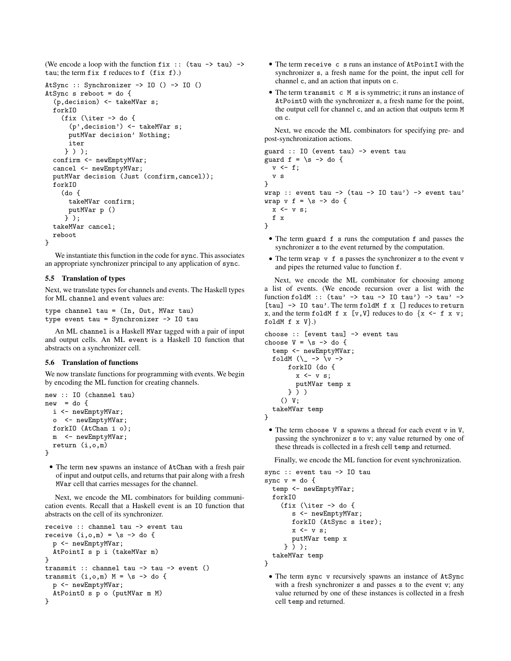```
(We encode a loop with the function fix :: (tau -> tau) ->
tau; the term fix f reduces to f (fix f).)
AtSync :: Synchronizer \rightarrow IO () \rightarrow IO ()
AtSync s reboot = do {
  (p,decision) <- takeMVar s;
  forkIO
    (fix (\iter \rightarrow do {
       (p',decision') <- takeMVar s;
      putMVar decision' Nothing;
      iter
     } ) );
  confirm <- newEmptyMVar;
  cancel <- newEmptyMVar;
  putMVar decision (Just (confirm,cancel));
  forkIO
    (do {
      takeMVar confirm;
      putMVar p ()
     } );
  takeMVar cancel;
  reboot
}
```
We instantiate this function in the code for sync. This associates an appropriate synchronizer principal to any application of sync.

## 5.5 Translation of types

Next, we translate types for channels and events. The Haskell types for ML channel and event values are:

type channel tau = (In, Out, MVar tau) type event tau = Synchronizer -> IO tau

An ML channel is a Haskell MVar tagged with a pair of input and output cells. An ML event is a Haskell IO function that abstracts on a synchronizer cell.

#### 5.6 Translation of functions

We now translate functions for programming with events. We begin by encoding the ML function for creating channels.

```
new :: IO (channel tau)
new = do {
 i <- newEmptyMVar;
 o <- newEmptyMVar;
 forkIO (AtChan i o);
 m <- newEmptyMVar;
 return (i,o,m)
}
```
• The term new spawns an instance of AtChan with a fresh pair of input and output cells, and returns that pair along with a fresh MVar cell that carries messages for the channel.

Next, we encode the ML combinators for building communication events. Recall that a Haskell event is an IO function that abstracts on the cell of its synchronizer.

```
receive :: channel tau -> event tau
receive (i, o, m) = \succeq s \rightarrow do {
  p <- newEmptyMVar;
  AtPointI s p i (takeMVar m)
}
transmit :: channel tau -> tau -> event ()
transmit (i, o, m) M = \succeq s \rightarrow do {
  p <- newEmptyMVar;
  AtPointO s p o (putMVar m M)
}
```
- The term receive c s runs an instance of AtPointI with the synchronizer s, a fresh name for the point, the input cell for channel c, and an action that inputs on c.
- The term transmit c M s is symmetric; it runs an instance of AtPointO with the synchronizer s, a fresh name for the point, the output cell for channel c, and an action that outputs term M on c.

Next, we encode the ML combinators for specifying pre- and post-synchronization actions.

```
guard :: IO (event tau) -> event tau
guard f = \succeq s \rightarrow do {
  v \leftarrow f;
   v s
}
wrap :: event tau \rightarrow (tau \rightarrow IO tau') \rightarrow event tau'
wrap v f = \succeq s \rightarrow do {
  x \leftarrow v s;
  f x
}
```
- The term guard f s runs the computation f and passes the synchronizer s to the event returned by the computation.
- The term wrap v f s passes the synchronizer s to the event v and pipes the returned value to function f.

Next, we encode the ML combinator for choosing among a list of events. (We encode recursion over a list with the function foldM :: (tau' -> tau -> IO tau') -> tau' -> [tau]  $\rightarrow$  10 tau'. The term foldM f x [] reduces to return x, and the term foldM f x [v, V] reduces to do  $\{x \leq f \mid x \leq y\}$ foldM  $f \times V$ .)

```
choose :: [event tau] -> event tau
choose V = \succeq s \rightarrow do {
  temp <- newEmptyMVar;
  foldM (\_ - \rightarrow \_ v \rightarrowforkIO (do {
          x \leftarrow v s;putMVar temp x
        } ) )
     () V;
  takeMVar temp
}
```
• The term choose V s spawns a thread for each event v in V, passing the synchronizer s to v; any value returned by one of these threads is collected in a fresh cell temp and returned.

Finally, we encode the ML function for event synchronization.

```
sync :: event tau -> IO tau
sync v = do {
  temp <- newEmptyMVar;
  forkIO
    (fix (\iter \rightarrow do {
       s <- newEmptyMVar;
       forkIO (AtSync s iter);
       x \leftarrow v s;putMVar temp x
     } ) );
  takeMVar temp
}
```
• The term sync v recursively spawns an instance of AtSync with a fresh synchronizer s and passes s to the event v; any value returned by one of these instances is collected in a fresh cell temp and returned.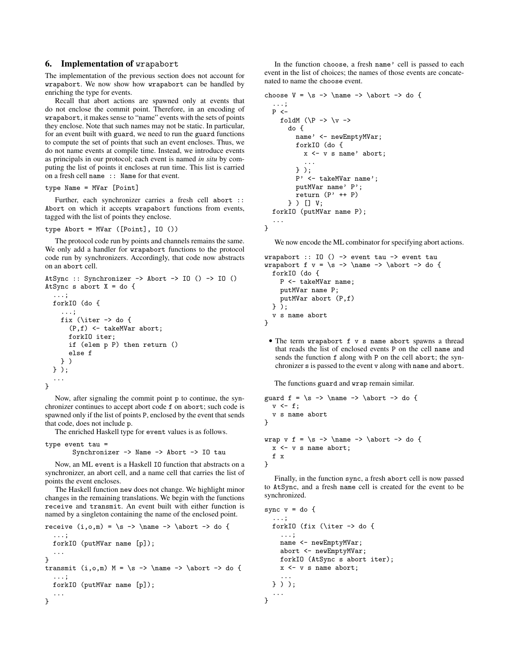# 6. Implementation of wrapabort

The implementation of the previous section does not account for wrapabort. We now show how wrapabort can be handled by enriching the type for events.

Recall that abort actions are spawned only at events that do not enclose the commit point. Therefore, in an encoding of wrapabort, it makes sense to "name" events with the sets of points they enclose. Note that such names may not be static. In particular, for an event built with guard, we need to run the guard functions to compute the set of points that such an event encloses. Thus, we do not name events at compile time. Instead, we introduce events as principals in our protocol; each event is named *in situ* by computing the list of points it encloses at run time. This list is carried on a fresh cell name :: Name for that event.

type Name = MVar [Point]

Further, each synchronizer carries a fresh cell abort :: Abort on which it accepts wrapabort functions from events, tagged with the list of points they enclose.

```
type Abort = MVar ([Point], IO ())
```
The protocol code run by points and channels remains the same. We only add a handler for wrapabort functions to the protocol code run by synchronizers. Accordingly, that code now abstracts on an abort cell.

```
AtSync :: Synchronizer -> Abort -> IO () -> IO ()
AtSync s abort X = do {
  ...;
  forkIO (do {
    ...;
    fix (\iter -> do {
      (P,f) <- takeMVar abort;
      forkIO iter;
      if (elem p P) then return ()
      else f
    } )
  } );
  ...
}
```
Now, after signaling the commit point p to continue, the synchronizer continues to accept abort code f on abort; such code is spawned only if the list of points P, enclosed by the event that sends that code, does not include p.

The enriched Haskell type for event values is as follows.

type event tau =

Synchronizer -> Name -> Abort -> IO tau

Now, an ML event is a Haskell IO function that abstracts on a synchronizer, an abort cell, and a name cell that carries the list of points the event encloses.

The Haskell function new does not change. We highlight minor changes in the remaining translations. We begin with the functions receive and transmit. An event built with either function is named by a singleton containing the name of the enclosed point.

```
receive (i, o, m) = \s -> \name -> \abort -> do...;
  forkIO (putMVar name [p]);
  ...
}
transmit (i, o, m) M = \s -> \name -> \abort -> do {
  ...;
  forkIO (putMVar name [p]);
  ...
}
```
In the function choose, a fresh name' cell is passed to each event in the list of choices; the names of those events are concatenated to name the choose event.

```
choose V = \s -> \name -> \abot + -> do...;
  P <-
    foldM (\P \rightarrow \forall v \rightarrowdo {
         name' <- newEmptyMVar;
         forkIO (do {
           x \leftarrow v s name' abort;
           ...
         } );
         P' <- takeMVar name';
         putMVar name' P';
         return (P' + P)} ) [] V;
  forkIO (putMVar name P);
  ...
}
```
We now encode the ML combinator for specifying abort actions.

```
wrapabort :: IO () \rightarrow event tau \rightarrow event tau
wrapabort f v = \s -> \name -> \abort -> doforkIO (do {
    P <- takeMVar name;
    putMVar name P;
    putMVar abort (P,f)
  } );
  v s name abort
}
```
• The term wrapabort f v s name abort spawns a thread that reads the list of enclosed events P on the cell name and sends the function f along with P on the cell abort; the synchronizer s is passed to the event v along with name and abort.

The functions guard and wrap remain similar.

```
guard f = \s -> \name -> \abot + \to \text{-> } dv \leftarrow f;
  v s name abort
}
wrap v f = \s -> \name -> \abot -> \cdotsx <- v s name abort;
  f x
}
```
Finally, in the function sync, a fresh abort cell is now passed to AtSync, and a fresh name cell is created for the event to be synchronized.

```
sync v = do {
  ...;
  forkIO (fix (\iter -> do {
    ...;
    name <- newEmptyMVar;
    abort <- newEmptyMVar;
    forkIO (AtSync s abort iter);
    x \leftarrow v s name abort;
    ...
 } ) );
  ...
}
```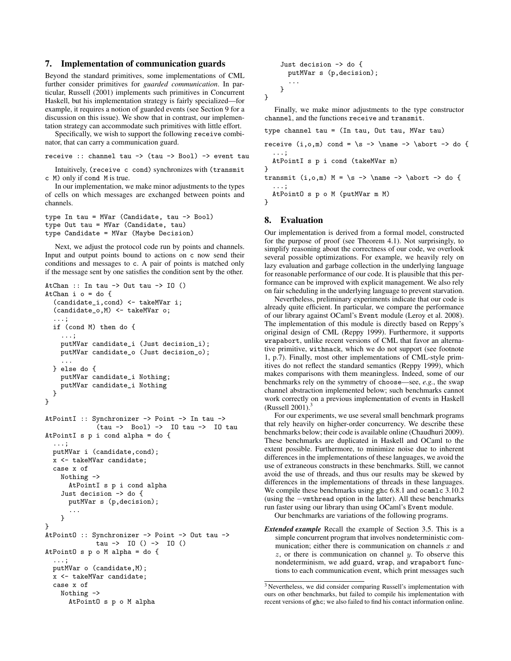# 7. Implementation of communication guards

Beyond the standard primitives, some implementations of CML further consider primitives for *guarded communication*. In particular, Russell (2001) implements such primitives in Concurrent Haskell, but his implementation strategy is fairly specialized—for example, it requires a notion of guarded events (see Section 9 for a discussion on this issue). We show that in contrast, our implementation strategy can accommodate such primitives with little effort.

Specifically, we wish to support the following receive combinator, that can carry a communication guard.

```
receive :: channel tau -> (tau -> Bool) -> event tau
```
Intuitively, (receive c cond) synchronizes with (transmit c M) only if cond M is true.

In our implementation, we make minor adjustments to the types of cells on which messages are exchanged between points and channels.

```
type In tau = MVar (Candidate, tau -> Bool)
type Out tau = MVar (Candidate, tau)
type Candidate = MVar (Maybe Decision)
```
Next, we adjust the protocol code run by points and channels. Input and output points bound to actions on c now send their conditions and messages to c. A pair of points is matched only if the message sent by one satisfies the condition sent by the other.

```
AtChan :: In tau \rightarrow Out tau \rightarrow IO ()
AtChan i o = do {
  (candidate_i,cond) <- takeMVar i;
  (candidate_o,M) <- takeMVar o;
  ...;
  if (cond M) then do {
    ...;
    putMVar candidate_i (Just decision_i);
    putMVar candidate_o (Just decision_o);
    ...
  } else do {
    putMVar candidate_i Nothing;
    putMVar candidate_i Nothing
  }
}
AtPointI :: Synchronizer -> Point -> In tau ->
              (tau -> Bool) -> IO tau -> IO tau
AtPointI s p i cond alpha = do {
  ...;
  putMVar i (candidate,cond);
  x <- takeMVar candidate;
  case x of
    Nothing ->
      AtPointI s p i cond alpha
    Just decision -> do {
      putMVar s (p,decision);
      ...
    }
}
AtPointO :: Synchronizer -> Point -> Out tau ->
             tau \rightarrow 10 () \rightarrow 10 ()
AtPointO s p o M alpha = do {
  ...;
  putMVar o (candidate,M);
  x <- takeMVar candidate;
  case x of
    Nothing ->
      AtPointO s p o M alpha
```

```
Just decision -> do {
  putMVar s (p,decision);
  ...
}
```
Finally, we make minor adjustments to the type constructor channel, and the functions receive and transmit.

```
type channel tau = (In tau, Out tau, MVar tau)
```

```
receive (i, o, m) cond = \s -> \name -> \abort -> do {
  ...;
  AtPointI s p i cond (takeMVar m)
}
transmit (i, o, m) M = \s -> \name -> \abort -> do {
  ...;
  AtPointO s p o M (putMVar m M)
}
```
## 8. Evaluation

}

Our implementation is derived from a formal model, constructed for the purpose of proof (see Theorem 4.1). Not surprisingly, to simplify reasoning about the correctness of our code, we overlook several possible optimizations. For example, we heavily rely on lazy evaluation and garbage collection in the underlying language for reasonable performance of our code. It is plausible that this performance can be improved with explicit management. We also rely on fair scheduling in the underlying language to prevent starvation.

Nevertheless, preliminary experiments indicate that our code is already quite efficient. In particular, we compare the performance of our library against OCaml's Event module (Leroy et al. 2008). The implementation of this module is directly based on Reppy's original design of CML (Reppy 1999). Furthermore, it supports wrapabort, unlike recent versions of CML that favor an alternative primitive, withnack, which we do not support (see footnote 1, p.7). Finally, most other implementations of CML-style primitives do not reflect the standard semantics (Reppy 1999), which makes comparisons with them meaningless. Indeed, some of our benchmarks rely on the symmetry of choose—see, *e.g.*, the swap channel abstraction implemented below; such benchmarks cannot work correctly on a previous implementation of events in Haskell (Russell  $2001$ ).<sup>3</sup>

For our experiments, we use several small benchmark programs that rely heavily on higher-order concurrency. We describe these benchmarks below; their code is available online (Chaudhuri 2009). These benchmarks are duplicated in Haskell and OCaml to the extent possible. Furthermore, to minimize noise due to inherent differences in the implementations of these languages, we avoid the use of extraneous constructs in these benchmarks. Still, we cannot avoid the use of threads, and thus our results may be skewed by differences in the implementations of threads in these languages. We compile these benchmarks using ghc 6.8.1 and ocamlc 3.10.2 (using the −vmthread option in the latter). All these benchmarks run faster using our library than using OCaml's Event module. Our benchmarks are variations of the following programs.

*Extended example* Recall the example of Section 3.5. This is a simple concurrent program that involves nondeterministic communication; either there is communication on channels  $x$  and  $z$ , or there is communication on channel  $y$ . To observe this nondeterminism, we add guard, wrap, and wrapabort functions to each communication event, which print messages such

<sup>3</sup> Nevertheless, we did consider comparing Russell's implementation with ours on other benchmarks, but failed to compile his implementation with recent versions of ghc; we also failed to find his contact information online.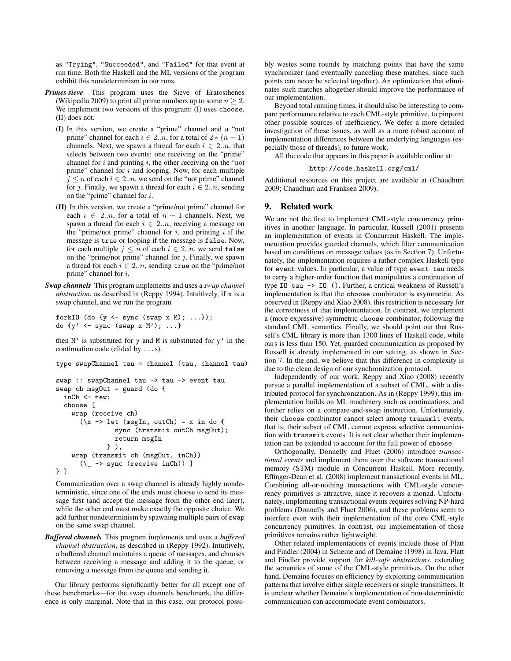as "Trying", "Succeeded", and "Failed" for that event at run time. Both the Haskell and the ML versions of the program exhibit this nondeterminism in our runs.

- *Primes sieve* This program uses the Sieve of Eratosthenes (Wikipedia 2009) to print all prime numbers up to some  $n \geq 2$ . We implement two versions of this program: (I) uses choose, (II) does not.
	- (I) In this version, we create a "prime" channel and a "not prime" channel for each  $i \in 2..n$ , for a total of  $2 * (n - 1)$ channels. Next, we spawn a thread for each  $i \in 2..n$ , that selects between two events: one receiving on the "prime" channel for  $i$  and printing  $i$ , the other receiving on the "not" prime" channel for  $i$  and looping. Now, for each multiple  $j \leq n$  of each  $i \in 2..n$ , we send on the "not prime" channel for j. Finally, we spawn a thread for each  $i \in 2..n$ , sending on the "prime" channel for i.
	- (II) In this version, we create a "prime/not prime" channel for each  $i \in 2..n$ , for a total of  $n-1$  channels. Next, we spawn a thread for each  $i \in 2..n$ , receiving a message on the "prime/not prime" channel for  $i$ , and printing  $i$  if the message is true or looping if the message is false. Now, for each multiple  $j \leq n$  of each  $i \in 2..n$ , we send false on the "prime/not prime" channel for  $j$ . Finally, we spawn a thread for each  $i \in 2..n$ , sending true on the "prime/not prime" channel for i.
- *Swap channels* This program implements and uses a *swap channel abstraction*, as described in (Reppy 1994). Intuitively, if x is a swap channel, and we run the program

forkIO (do {y <- sync (swap x M); ...}); do  $\{y' \leftarrow \text{sync} (\text{swap } x \text{ M}'); \dots\}$ 

then  $M'$  is substituted for y and M is substituted for y' in the continuation code (elided by ...s).

```
type swapChannel tau = channel (tau, channel tau)
swap :: swapChannel tau -> tau -> event tau
swap ch msgOut = guard (do {
  inCh \le -new:
  choose [
    wrap (receive ch)
       (\x \rightarrow x \text{ let } (\text{msgIn, outCh}) = x \text{ in do }sync (transmit outCh msgOut);
                 return msgIn
              } ),
    wrap (transmit ch (msgOut, inCh))
       (\_ -> sync (receive inCh)) ]
} )
```
Communication over a swap channel is already highly nondeterministic, since one of the ends must choose to send its message first (and accept the message from the other end later), while the other end must make exactly the opposite choice. We add further nondeterminism by spawning multiple pairs of swap on the same swap channel.

*Buffered channels* This program implements and uses a *buffered channel abstraction*, as described in (Reppy 1992). Intuitively, a buffered channel maintains a queue of messages, and chooses between receiving a message and adding it to the queue, or removing a message from the queue and sending it.

Our library performs significantly better for all except one of these benchmarks—for the swap channels benchmark, the difference is only marginal. Note that in this case, our protocol possibly wastes some rounds by matching points that have the same synchronizer (and eventually canceling these matches, since such points can never be selected together). An optimization that eliminates such matches altogether should improve the performance of our implementation.

Beyond total running times, it should also be interesting to compare performance relative to each CML-style primitive, to pinpoint other possible sources of inefficiency. We defer a more detailed investigation of these issues, as well as a more robust account of implementation differences between the underlying languages (especially those of threads), to future work.

All the code that appears in this paper is available online at:

```
http://code.haskell.org/cml/
```
Additional resources on this project are available at (Chaudhuri 2009; Chaudhuri and Franksen 2009).

## 9. Related work

We are not the first to implement CML-style concurrency primitives in another language. In particular, Russell (2001) presents an implementation of events in Concurrent Haskell. The implementation provides guarded channels, which filter communication based on conditions on message values (as in Section 7). Unfortunately, the implementation requires a rather complex Haskell type for event values. In particular, a value of type event tau needs to carry a higher-order function that manipulates a continuation of type IO tau -> IO (). Further, a critical weakness of Russell's implementation is that the choose combinator is asymmetric. As observed in (Reppy and Xiao 2008), this restriction is necessary for the correctness of that implementation. In contrast, we implement a (more expressive) symmetric choose combinator, following the standard CML semantics. Finally, we should point out that Russell's CML library is more than 1300 lines of Haskell code, while ours is less than 150. Yet, guarded communication as proposed by Russell is already implemented in our setting, as shown in Section 7. In the end, we believe that this difference in complexity is due to the clean design of our synchronization protocol.

Independently of our work, Reppy and Xiao (2008) recently pursue a parallel implementation of a subset of CML, with a distributed protocol for synchronization. As in (Reppy 1999), this implementation builds on ML machinery such as continuations, and further relies on a compare-and-swap instruction. Unfortunately, their choose combinator cannot select among transmit events, that is, their subset of CML cannot express selective communication with transmit events. It is not clear whether their implementation can be extended to account for the full power of choose.

Orthogonally, Donnelly and Fluet (2006) introduce *transactional events* and implement them over the software transactional memory (STM) module in Concurrent Haskell. More recently, Effinger-Dean et al. (2008) implement transactional events in ML. Combining all-or-nothing transactions with CML-style concurrency primitives is attractive, since it recovers a monad. Unfortunately, implementing transactional events requires solving NP-hard problems (Donnelly and Fluet 2006), and these problems seem to interfere even with their implementation of the core CML-style concurrency primitives. In contrast, our implementation of those primitives remains rather lightweight.

Other related implementations of events include those of Flatt and Findler (2004) in Scheme and of Demaine (1998) in Java. Flatt and Findler provide support for *kill-safe abstractions*, extending the semantics of some of the CML-style primitives. On the other hand, Demaine focuses on efficiency by exploiting communication patterns that involve either single receivers or single transmitters. It is unclear whether Demaine's implementation of non-deterministic communication can accommodate event combinators.